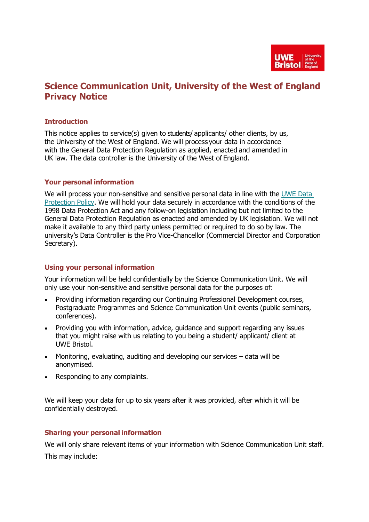

# **Science Communication Unit, University of the West of England Privacy Notice**

### **Introduction**

This notice applies to service(s) given to students/ applicants/ other clients, by us, the University of the West of England. We will process your data in accordance with the General Data Protection Regulation as applied, enacted and amended in UK law. The data controller is the University of the West of England.

#### **Your personal information**

We will process your non-sensitive and sensitive personal data in line with the [UWE](http://www2.uwe.ac.uk/services/Marketing/about-us/pdf/Policies/Data-Protection-Policy.pdf) Data [Protection](http://www2.uwe.ac.uk/services/Marketing/about-us/pdf/Policies/Data-Protection-Policy.pdf) Policy. We will hold your data securely in accordance with the conditions of the 1998 Data Protection Act and any follow-on legislation including but not limited to the General Data Protection Regulation as enacted and amended by UK legislation. We will not make it available to any third party unless permitted or required to do so by law. The university's Data Controller is the Pro Vice-Chancellor (Commercial Director and Corporation Secretary).

#### **Using your personal information**

Your information will be held confidentially by the Science Communication Unit. We will only use your non-sensitive and sensitive personal data for the purposes of:

- Providing information regarding our Continuing Professional Development courses, Postgraduate Programmes and Science Communication Unit events (public seminars, conferences).
- Providing you with information, advice, guidance and support regarding any issues that you might raise with us relating to you being a student/ applicant/ client at UWE Bristol.
- Monitoring, evaluating, auditing and developing our services data will be anonymised.
- Responding to any complaints.

We will keep your data for up to six years after it was provided, after which it will be confidentially destroyed.

#### **Sharing your personal information**

We will only share relevant items of your information with Science Communication Unit staff. This may include: